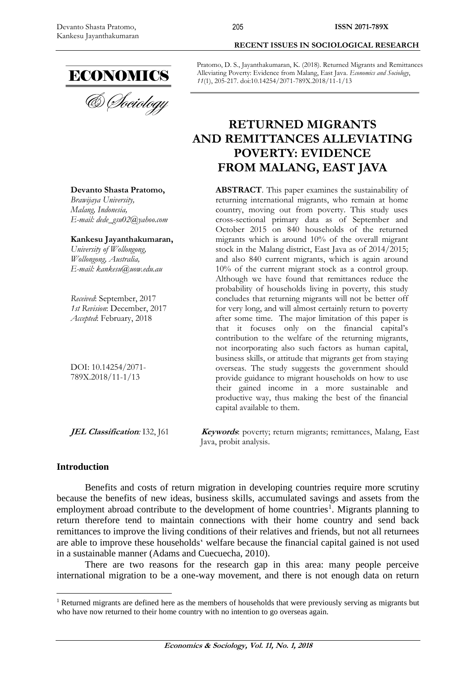

# **RECENT ISSUES IN SOCIOLOGICAL RESEARCH**

Pratomo, D. S., Jayanthakumaran, K. (2018). Returned Migrants and Remittances Alleviating Poverty: Evidence from Malang, East Java. *Economics and Sociology*, *11*(1), 205-217. doi:10.14254/2071-789X.2018/11-1/13

205

## **RETURNED MIGRANTS AND REMITTANCES ALLEVIATING POVERTY: EVIDENCE FROM MALANG, EAST JAVA**

**ABSTRACT**. This paper examines the sustainability of returning international migrants, who remain at home country, moving out from poverty. This study uses cross-sectional primary data as of September and October 2015 on 840 households of the returned migrants which is around 10% of the overall migrant stock in the Malang district, East Java as of 2014/2015; and also 840 current migrants, which is again around 10% of the current migrant stock as a control group. Although we have found that remittances reduce the probability of households living in poverty, this study concludes that returning migrants will not be better off for very long, and will almost certainly return to poverty after some time. The major limitation of this paper is that it focuses only on the financial capital's contribution to the welfare of the returning migrants, not incorporating also such factors as human capital, business skills, or attitude that migrants get from staying overseas. The study suggests the government should provide guidance to migrant households on how to use their gained income in a more sustainable and productive way, thus making the best of the financial capital available to them.

**JEL Classification**: I32, [61 *Keywords*: poverty; return migrants; remittances, Malang, East Java, probit analysis.

#### **Introduction**

 $\overline{a}$ 

Benefits and costs of return migration in developing countries require more scrutiny because the benefits of new ideas, business skills, accumulated savings and assets from the employment abroad contribute to the development of home countries<sup>1</sup>. Migrants planning to return therefore tend to maintain connections with their home country and send back remittances to improve the living conditions of their relatives and friends, but not all returnees are able to improve these households' welfare because the financial capital gained is not used in a sustainable manner (Adams and Cuecuecha, 2010).

There are two reasons for the research gap in this area: many people perceive international migration to be a one-way movement, and there is not enough data on return

**Devanto Shasta Pratomo,**

*Brawijaya University, Malang, Indonesia, E-mail: dede\_gsu02@yahoo.com*

**Kankesu Jayanthakumaran,**

*University of Wollongong, Wollongong, Australia, E-mail: kankesu@uow.edu.au*

*Received*: September, 2017 *1st Revision*: December, 2017 *Accepted*: February, 2018

DOI: 10.14254/2071- 789X.2018/11-1/13

<sup>&</sup>lt;sup>1</sup> Returned migrants are defined here as the members of households that were previously serving as migrants but who have now returned to their home country with no intention to go overseas again.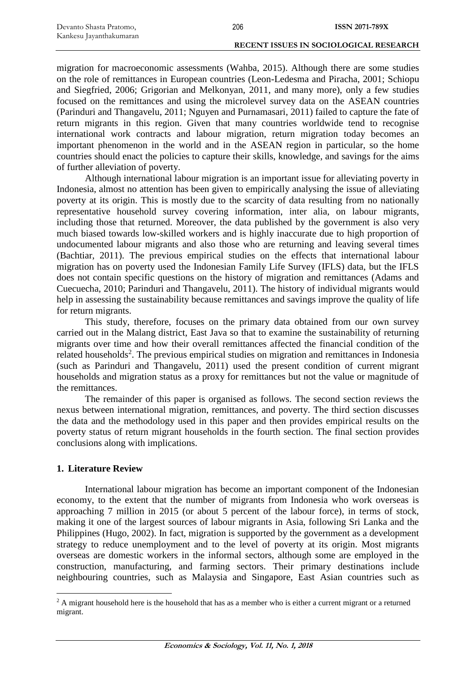| Devanto Shasta Pratomo, | 206 | <b>ISSN 2071-789X</b>                  |
|-------------------------|-----|----------------------------------------|
| Kankesu Jayanthakumaran |     |                                        |
|                         |     | RECENT ISSUES IN SOCIOLOGICAL RESEARCH |

migration for macroeconomic assessments (Wahba, 2015). Although there are some studies on the role of remittances in European countries (Leon-Ledesma and Piracha, 2001; Schiopu and Siegfried, 2006; Grigorian and Melkonyan, 2011, and many more), only a few studies focused on the remittances and using the microlevel survey data on the ASEAN countries (Parinduri and Thangavelu, 2011; Nguyen and Purnamasari, 2011) failed to capture the fate of return migrants in this region. Given that many countries worldwide tend to recognise international work contracts and labour migration, return migration today becomes an important phenomenon in the world and in the ASEAN region in particular, so the home countries should enact the policies to capture their skills, knowledge, and savings for the aims of further alleviation of poverty.

Although international labour migration is an important issue for alleviating poverty in Indonesia, almost no attention has been given to empirically analysing the issue of alleviating poverty at its origin. This is mostly due to the scarcity of data resulting from no nationally representative household survey covering information, inter alia, on labour migrants, including those that returned. Moreover, the data published by the government is also very much biased towards low-skilled workers and is highly inaccurate due to high proportion of undocumented labour migrants and also those who are returning and leaving several times (Bachtiar, 2011). The previous empirical studies on the effects that international labour migration has on poverty used the Indonesian Family Life Survey (IFLS) data, but the IFLS does not contain specific questions on the history of migration and remittances (Adams and Cuecuecha, 2010; Parinduri and Thangavelu, 2011). The history of individual migrants would help in assessing the sustainability because remittances and savings improve the quality of life for return migrants.

This study, therefore, focuses on the primary data obtained from our own survey carried out in the Malang district, East Java so that to examine the sustainability of returning migrants over time and how their overall remittances affected the financial condition of the related households<sup>2</sup>. The previous empirical studies on migration and remittances in Indonesia (such as Parinduri and Thangavelu, 2011) used the present condition of current migrant households and migration status as a proxy for remittances but not the value or magnitude of the remittances.

The remainder of this paper is organised as follows. The second section reviews the nexus between international migration, remittances, and poverty. The third section discusses the data and the methodology used in this paper and then provides empirical results on the poverty status of return migrant households in the fourth section. The final section provides conclusions along with implications.

#### **1. Literature Review**

 $\overline{a}$ 

International labour migration has become an important component of the Indonesian economy, to the extent that the number of migrants from Indonesia who work overseas is approaching 7 million in 2015 (or about 5 percent of the labour force), in terms of stock, making it one of the largest sources of labour migrants in Asia, following Sri Lanka and the Philippines (Hugo, 2002). In fact, migration is supported by the government as a development strategy to reduce unemployment and to the level of poverty at its origin. Most migrants overseas are domestic workers in the informal sectors, although some are employed in the construction, manufacturing, and farming sectors. Their primary destinations include neighbouring countries, such as Malaysia and Singapore, East Asian countries such as

<sup>&</sup>lt;sup>2</sup> A migrant household here is the household that has as a member who is either a current migrant or a returned migrant.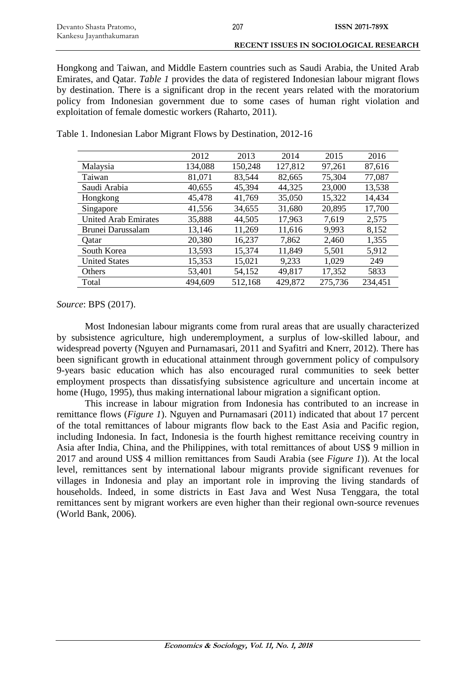Hongkong and Taiwan, and Middle Eastern countries such as Saudi Arabia, the United Arab Emirates, and Qatar. *Table 1* provides the data of registered Indonesian labour migrant flows by destination. There is a significant drop in the recent years related with the moratorium policy from Indonesian government due to some cases of human right violation and exploitation of female domestic workers (Raharto, 2011).

|                             | 2012    | 2013    | 2014    | 2015    | 2016    |
|-----------------------------|---------|---------|---------|---------|---------|
| Malaysia                    | 134,088 | 150,248 | 127,812 | 97,261  | 87,616  |
| Taiwan                      | 81,071  | 83,544  | 82,665  | 75,304  | 77,087  |
| Saudi Arabia                | 40,655  | 45,394  | 44,325  | 23,000  | 13,538  |
| Hongkong                    | 45,478  | 41,769  | 35,050  | 15,322  | 14,434  |
| Singapore                   | 41,556  | 34,655  | 31,680  | 20,895  | 17,700  |
| <b>United Arab Emirates</b> | 35,888  | 44,505  | 17,963  | 7,619   | 2,575   |
| Brunei Darussalam           | 13,146  | 11,269  | 11,616  | 9,993   | 8,152   |
| Qatar                       | 20,380  | 16,237  | 7,862   | 2,460   | 1,355   |
| South Korea                 | 13,593  | 15,374  | 11,849  | 5,501   | 5,912   |
| <b>United States</b>        | 15,353  | 15,021  | 9,233   | 1,029   | 249     |
| Others                      | 53,401  | 54,152  | 49,817  | 17,352  | 5833    |
| Total                       | 494,609 | 512,168 | 429,872 | 275,736 | 234,451 |

Table 1. Indonesian Labor Migrant Flows by Destination, 2012-16

*Source*: BPS (2017).

Most Indonesian labour migrants come from rural areas that are usually characterized by subsistence agriculture, high underemployment, a surplus of low-skilled labour, and widespread poverty (Nguyen and Purnamasari, 2011 and Syafitri and Knerr, 2012). There has been significant growth in educational attainment through government policy of compulsory 9-years basic education which has also encouraged rural communities to seek better employment prospects than dissatisfying subsistence agriculture and uncertain income at home (Hugo, 1995), thus making international labour migration a significant option.

This increase in labour migration from Indonesia has contributed to an increase in remittance flows (*Figure 1*). Nguyen and Purnamasari (2011) indicated that about 17 percent of the total remittances of labour migrants flow back to the East Asia and Pacific region, including Indonesia. In fact, Indonesia is the fourth highest remittance receiving country in Asia after India, China, and the Philippines, with total remittances of about US\$ 9 million in 2017 and around US\$ 4 million remittances from Saudi Arabia (see *Figure 1*)). At the local level, remittances sent by international labour migrants provide significant revenues for villages in Indonesia and play an important role in improving the living standards of households. Indeed, in some districts in East Java and West Nusa Tenggara, the total remittances sent by migrant workers are even higher than their regional own-source revenues (World Bank, 2006).

**Economics & Sociology, Vol. 11, No. 1, 2018**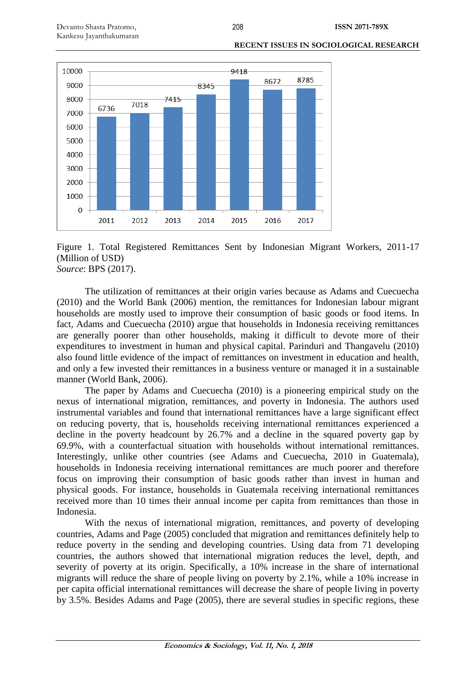

#### **RECENT ISSUES IN SOCIOLOGICAL RESEARCH**

Figure 1. Total Registered Remittances Sent by Indonesian Migrant Workers, 2011-17 (Million of USD) *Source*: BPS (2017).

The utilization of remittances at their origin varies because as Adams and Cuecuecha (2010) and the World Bank (2006) mention, the remittances for Indonesian labour migrant households are mostly used to improve their consumption of basic goods or food items. In fact, Adams and Cuecuecha (2010) argue that households in Indonesia receiving remittances are generally poorer than other households, making it difficult to devote more of their expenditures to investment in human and physical capital. Parinduri and Thangavelu (2010) also found little evidence of the impact of remittances on investment in education and health, and only a few invested their remittances in a business venture or managed it in a sustainable manner (World Bank, 2006).

The paper by Adams and Cuecuecha (2010) is a pioneering empirical study on the nexus of international migration, remittances, and poverty in Indonesia. The authors used instrumental variables and found that international remittances have a large significant effect on reducing poverty, that is, households receiving international remittances experienced a decline in the poverty headcount by 26.7% and a decline in the squared poverty gap by 69.9%, with a counterfactual situation with households without international remittances. Interestingly, unlike other countries (see Adams and Cuecuecha, 2010 in Guatemala), households in Indonesia receiving international remittances are much poorer and therefore focus on improving their consumption of basic goods rather than invest in human and physical goods. For instance, households in Guatemala receiving international remittances received more than 10 times their annual income per capita from remittances than those in Indonesia.

With the nexus of international migration, remittances, and poverty of developing countries, Adams and Page (2005) concluded that migration and remittances definitely help to reduce poverty in the sending and developing countries. Using data from 71 developing countries, the authors showed that international migration reduces the level, depth, and severity of poverty at its origin. Specifically, a 10% increase in the share of international migrants will reduce the share of people living on poverty by 2.1%, while a 10% increase in per capita official international remittances will decrease the share of people living in poverty by 3.5%. Besides Adams and Page (2005), there are several studies in specific regions, these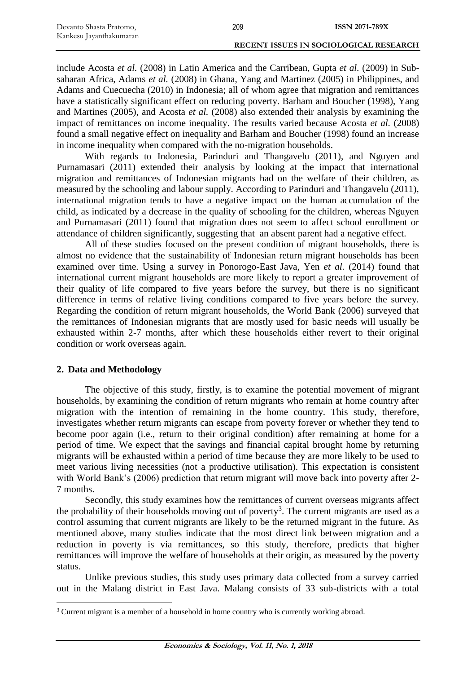| Devanto Shasta Pratomo, | 209 | ISSN 2071-789X                         |
|-------------------------|-----|----------------------------------------|
| Kankesu Jayanthakumaran |     |                                        |
|                         |     | RECENT ISSUES IN SOCIOLOGICAL RESEARCH |

include Acosta *et al.* (2008) in Latin America and the Carribean, Gupta *et al.* (2009) in Subsaharan Africa, Adams *et al.* (2008) in Ghana, Yang and Martinez (2005) in Philippines, and Adams and Cuecuecha (2010) in Indonesia; all of whom agree that migration and remittances have a statistically significant effect on reducing poverty. Barham and Boucher (1998), Yang and Martines (2005), and Acosta *et al.* (2008) also extended their analysis by examining the impact of remittances on income inequality. The results varied because Acosta *et al.* (2008) found a small negative effect on inequality and Barham and Boucher (1998) found an increase in income inequality when compared with the no-migration households.

With regards to Indonesia, Parinduri and Thangavelu (2011), and Nguyen and Purnamasari (2011) extended their analysis by looking at the impact that international migration and remittances of Indonesian migrants had on the welfare of their children, as measured by the schooling and labour supply. According to Parinduri and Thangavelu (2011), international migration tends to have a negative impact on the human accumulation of the child, as indicated by a decrease in the quality of schooling for the children, whereas Nguyen and Purnamasari (2011) found that migration does not seem to affect school enrollment or attendance of children significantly, suggesting that an absent parent had a negative effect.

All of these studies focused on the present condition of migrant households, there is almost no evidence that the sustainability of Indonesian return migrant households has been examined over time. Using a survey in Ponorogo-East Java, Yen *et al.* (2014) found that international current migrant households are more likely to report a greater improvement of their quality of life compared to five years before the survey, but there is no significant difference in terms of relative living conditions compared to five years before the survey. Regarding the condition of return migrant households, the World Bank (2006) surveyed that the remittances of Indonesian migrants that are mostly used for basic needs will usually be exhausted within 2-7 months, after which these households either revert to their original condition or work overseas again.

#### **2. Data and Methodology**

 $\overline{a}$ 

The objective of this study, firstly, is to examine the potential movement of migrant households, by examining the condition of return migrants who remain at home country after migration with the intention of remaining in the home country. This study, therefore, investigates whether return migrants can escape from poverty forever or whether they tend to become poor again (i.e., return to their original condition) after remaining at home for a period of time. We expect that the savings and financial capital brought home by returning migrants will be exhausted within a period of time because they are more likely to be used to meet various living necessities (not a productive utilisation). This expectation is consistent with World Bank's (2006) prediction that return migrant will move back into poverty after 2-7 months.

Secondly, this study examines how the remittances of current overseas migrants affect the probability of their households moving out of poverty<sup>3</sup>. The current migrants are used as a control assuming that current migrants are likely to be the returned migrant in the future. As mentioned above, many studies indicate that the most direct link between migration and a reduction in poverty is via remittances, so this study, therefore, predicts that higher remittances will improve the welfare of households at their origin, as measured by the poverty status.

Unlike previous studies, this study uses primary data collected from a survey carried out in the Malang district in East Java. Malang consists of 33 sub-districts with a total

<sup>&</sup>lt;sup>3</sup> Current migrant is a member of a household in home country who is currently working abroad.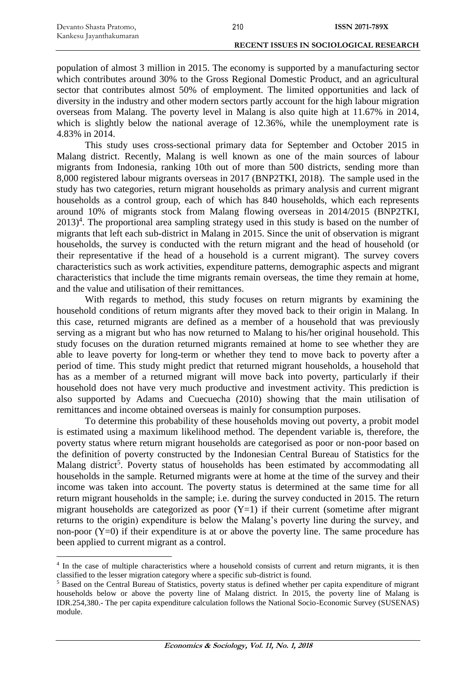$\overline{a}$ 

#### **RECENT ISSUES IN SOCIOLOGICAL RESEARCH**

population of almost 3 million in 2015. The economy is supported by a manufacturing sector which contributes around 30% to the Gross Regional Domestic Product, and an agricultural sector that contributes almost 50% of employment. The limited opportunities and lack of diversity in the industry and other modern sectors partly account for the high labour migration overseas from Malang. The poverty level in Malang is also quite high at 11.67% in 2014, which is slightly below the national average of 12.36%, while the unemployment rate is 4.83% in 2014.

This study uses cross-sectional primary data for September and October 2015 in Malang district. Recently, Malang is well known as one of the main sources of labour migrants from Indonesia, ranking 10th out of more than 500 districts, sending more than 8,000 registered labour migrants overseas in 2017 (BNP2TKI, 2018). The sample used in the study has two categories, return migrant households as primary analysis and current migrant households as a control group, each of which has 840 households, which each represents around 10% of migrants stock from Malang flowing overseas in 2014/2015 (BNP2TKI, 2013)<sup>4</sup>. The proportional area sampling strategy used in this study is based on the number of migrants that left each sub-district in Malang in 2015. Since the unit of observation is migrant households, the survey is conducted with the return migrant and the head of household (or their representative if the head of a household is a current migrant). The survey covers characteristics such as work activities, expenditure patterns, demographic aspects and migrant characteristics that include the time migrants remain overseas, the time they remain at home, and the value and utilisation of their remittances.

With regards to method, this study focuses on return migrants by examining the household conditions of return migrants after they moved back to their origin in Malang. In this case, returned migrants are defined as a member of a household that was previously serving as a migrant but who has now returned to Malang to his/her original household. This study focuses on the duration returned migrants remained at home to see whether they are able to leave poverty for long-term or whether they tend to move back to poverty after a period of time. This study might predict that returned migrant households, a household that has as a member of a returned migrant will move back into poverty, particularly if their household does not have very much productive and investment activity. This prediction is also supported by Adams and Cuecuecha (2010) showing that the main utilisation of remittances and income obtained overseas is mainly for consumption purposes.

To determine this probability of these households moving out poverty, a probit model is estimated using a maximum likelihood method. The dependent variable is, therefore, the poverty status where return migrant households are categorised as poor or non-poor based on the definition of poverty constructed by the Indonesian Central Bureau of Statistics for the Malang district<sup>5</sup>. Poverty status of households has been estimated by accommodating all households in the sample. Returned migrants were at home at the time of the survey and their income was taken into account. The poverty status is determined at the same time for all return migrant households in the sample; i.e. during the survey conducted in 2015. The return migrant households are categorized as poor  $(Y=1)$  if their current (sometime after migrant returns to the origin) expenditure is below the Malang's poverty line during the survey, and non-poor  $(Y=0)$  if their expenditure is at or above the poverty line. The same procedure has been applied to current migrant as a control.

<sup>&</sup>lt;sup>4</sup> In the case of multiple characteristics where a household consists of current and return migrants, it is then classified to the lesser migration category where a specific sub-district is found.

<sup>&</sup>lt;sup>5</sup> Based on the Central Bureau of Statistics, poverty status is defined whether per capita expenditure of migrant households below or above the poverty line of Malang district. In 2015, the poverty line of Malang is IDR.254,380.- The per capita expenditure calculation follows the National Socio-Economic Survey (SUSENAS) module.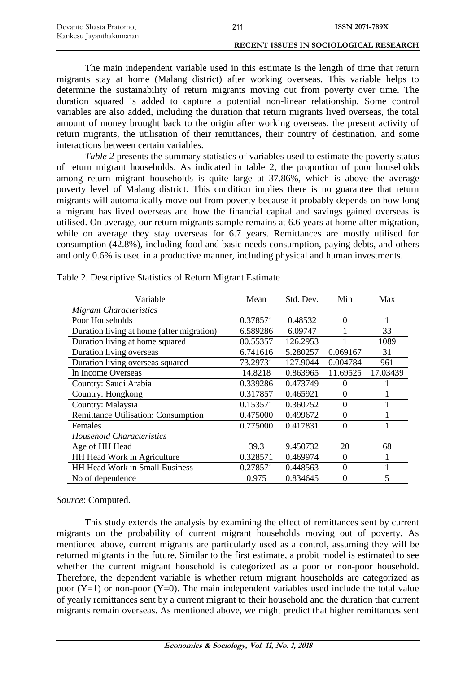| Devanto Shasta Pratomo, | 211 | <b>ISSN 2071-789X</b>                         |
|-------------------------|-----|-----------------------------------------------|
| Kankesu Jayanthakumaran |     |                                               |
|                         |     | <b>RECENT ISSUES IN SOCIOLOGICAL RESEARCH</b> |

The main independent variable used in this estimate is the length of time that return migrants stay at home (Malang district) after working overseas. This variable helps to determine the sustainability of return migrants moving out from poverty over time. The duration squared is added to capture a potential non-linear relationship. Some control variables are also added, including the duration that return migrants lived overseas, the total amount of money brought back to the origin after working overseas, the present activity of return migrants, the utilisation of their remittances, their country of destination, and some interactions between certain variables.

*Table 2* presents the summary statistics of variables used to estimate the poverty status of return migrant households. As indicated in table 2, the proportion of poor households among return migrant households is quite large at 37.86%, which is above the average poverty level of Malang district. This condition implies there is no guarantee that return migrants will automatically move out from poverty because it probably depends on how long a migrant has lived overseas and how the financial capital and savings gained overseas is utilised. On average, our return migrants sample remains at 6.6 years at home after migration, while on average they stay overseas for 6.7 years. Remittances are mostly utilised for consumption (42.8%), including food and basic needs consumption, paying debts, and others and only 0.6% is used in a productive manner, including physical and human investments.

| Variable                                   | Mean     | Std. Dev. | Min      | Max      |
|--------------------------------------------|----------|-----------|----------|----------|
| <b>Migrant Characteristics</b>             |          |           |          |          |
| Poor Households                            | 0.378571 | 0.48532   | $\Omega$ |          |
| Duration living at home (after migration)  | 6.589286 | 6.09747   |          | 33       |
| Duration living at home squared            | 80.55357 | 126.2953  |          | 1089     |
| Duration living overseas                   | 6.741616 | 5.280257  | 0.069167 | 31       |
| Duration living overseas squared           | 73.29731 | 127.9044  | 0.004784 | 961      |
| In Income Overseas                         | 14.8218  | 0.863965  | 11.69525 | 17.03439 |
| Country: Saudi Arabia                      | 0.339286 | 0.473749  | $\theta$ |          |
| Country: Hongkong                          | 0.317857 | 0.465921  | $\Omega$ |          |
| Country: Malaysia                          | 0.153571 | 0.360752  | $\Omega$ |          |
| <b>Remittance Utilisation: Consumption</b> | 0.475000 | 0.499672  | $\Omega$ |          |
| Females                                    | 0.775000 | 0.417831  | 0        |          |
| <b>Household Characteristics</b>           |          |           |          |          |
| Age of HH Head                             | 39.3     | 9.450732  | 20       | 68       |
| HH Head Work in Agriculture                | 0.328571 | 0.469974  | $\Omega$ |          |
| HH Head Work in Small Business             | 0.278571 | 0.448563  | $\Omega$ |          |
| No of dependence                           | 0.975    | 0.834645  | $\Omega$ | 5        |

Table 2. Descriptive Statistics of Return Migrant Estimate

#### *Source*: Computed.

This study extends the analysis by examining the effect of remittances sent by current migrants on the probability of current migrant households moving out of poverty. As mentioned above, current migrants are particularly used as a control, assuming they will be returned migrants in the future. Similar to the first estimate, a probit model is estimated to see whether the current migrant household is categorized as a poor or non-poor household. Therefore, the dependent variable is whether return migrant households are categorized as poor  $(Y=1)$  or non-poor  $(Y=0)$ . The main independent variables used include the total value of yearly remittances sent by a current migrant to their household and the duration that current migrants remain overseas. As mentioned above, we might predict that higher remittances sent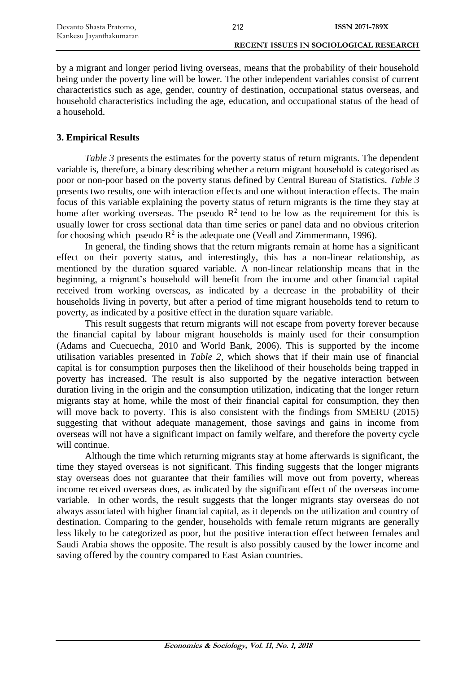by a migrant and longer period living overseas, means that the probability of their household being under the poverty line will be lower. The other independent variables consist of current characteristics such as age, gender, country of destination, occupational status overseas, and household characteristics including the age, education, and occupational status of the head of a household.

### **3. Empirical Results**

*Table 3* presents the estimates for the poverty status of return migrants. The dependent variable is, therefore, a binary describing whether a return migrant household is categorised as poor or non-poor based on the poverty status defined by Central Bureau of Statistics. *Table 3* presents two results, one with interaction effects and one without interaction effects. The main focus of this variable explaining the poverty status of return migrants is the time they stay at home after working overseas. The pseudo  $R^2$  tend to be low as the requirement for this is usually lower for cross sectional data than time series or panel data and no obvious criterion for choosing which pseudo  $R^2$  is the adequate one (Veall and Zimmermann, 1996).

In general, the finding shows that the return migrants remain at home has a significant effect on their poverty status, and interestingly, this has a non-linear relationship, as mentioned by the duration squared variable. A non-linear relationship means that in the beginning, a migrant's household will benefit from the income and other financial capital received from working overseas, as indicated by a decrease in the probability of their households living in poverty, but after a period of time migrant households tend to return to poverty, as indicated by a positive effect in the duration square variable.

This result suggests that return migrants will not escape from poverty forever because the financial capital by labour migrant households is mainly used for their consumption (Adams and Cuecuecha, 2010 and World Bank, 2006). This is supported by the income utilisation variables presented in *Table 2*, which shows that if their main use of financial capital is for consumption purposes then the likelihood of their households being trapped in poverty has increased. The result is also supported by the negative interaction between duration living in the origin and the consumption utilization, indicating that the longer return migrants stay at home, while the most of their financial capital for consumption, they then will move back to poverty. This is also consistent with the findings from SMERU (2015) suggesting that without adequate management, those savings and gains in income from overseas will not have a significant impact on family welfare, and therefore the poverty cycle will continue.

Although the time which returning migrants stay at home afterwards is significant, the time they stayed overseas is not significant. This finding suggests that the longer migrants stay overseas does not guarantee that their families will move out from poverty, whereas income received overseas does, as indicated by the significant effect of the overseas income variable. In other words, the result suggests that the longer migrants stay overseas do not always associated with higher financial capital, as it depends on the utilization and country of destination. Comparing to the gender, households with female return migrants are generally less likely to be categorized as poor, but the positive interaction effect between females and Saudi Arabia shows the opposite. The result is also possibly caused by the lower income and saving offered by the country compared to East Asian countries.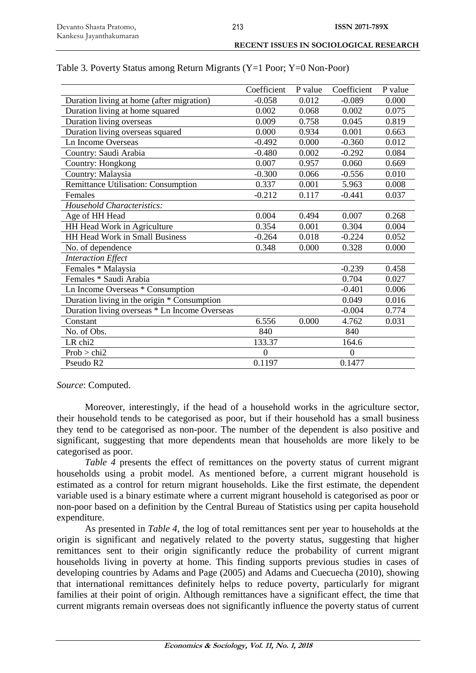| RECENT ISSUES IN SOCIOLOGICAL RESEARCH |
|----------------------------------------|
|                                        |

|                                               | Coefficient | P value | Coefficient | P value |
|-----------------------------------------------|-------------|---------|-------------|---------|
| Duration living at home (after migration)     | $-0.058$    | 0.012   | $-0.089$    | 0.000   |
| Duration living at home squared               | 0.002       | 0.068   | 0.002       | 0.075   |
| Duration living overseas                      | 0.009       | 0.758   | 0.045       | 0.819   |
| Duration living overseas squared              | 0.000       | 0.934   | 0.001       | 0.663   |
| Ln Income Overseas                            | $-0.492$    | 0.000   | $-0.360$    | 0.012   |
| Country: Saudi Arabia                         | $-0.480$    | 0.002   | $-0.292$    | 0.084   |
| Country: Hongkong                             | 0.007       | 0.957   | 0.060       | 0.669   |
| Country: Malaysia                             | $-0.300$    | 0.066   | $-0.556$    | 0.010   |
| Remittance Utilisation: Consumption           | 0.337       | 0.001   | 5.963       | 0.008   |
| Females                                       | $-0.212$    | 0.117   | $-0.441$    | 0.037   |
| <b>Household Characteristics:</b>             |             |         |             |         |
| Age of HH Head                                | 0.004       | 0.494   | 0.007       | 0.268   |
| HH Head Work in Agriculture                   | 0.354       | 0.001   | 0.304       | 0.004   |
| HH Head Work in Small Business                | $-0.264$    | 0.018   | $-0.224$    | 0.052   |
| No. of dependence                             | 0.348       | 0.000   | 0.328       | 0.000   |
| <b>Interaction Effect</b>                     |             |         |             |         |
| Females * Malaysia                            |             |         | $-0.239$    | 0.458   |
| Females * Saudi Arabia                        |             |         | 0.704       | 0.027   |
| Ln Income Overseas * Consumption              |             |         | $-0.401$    | 0.006   |
| Duration living in the origin * Consumption   |             |         | 0.049       | 0.016   |
| Duration living overseas * Ln Income Overseas |             |         | $-0.004$    | 0.774   |
| Constant                                      | 6.556       | 0.000   | 4.762       | 0.031   |
| No. of Obs.                                   | 840         |         | 840         |         |
| LR chi2                                       | 133.37      |         | 164.6       |         |
| Prob > chi2                                   | $\Omega$    |         | $\theta$    |         |
| Pseudo R2                                     | 0.1197      |         | 0.1477      |         |

#### Table 3. Poverty Status among Return Migrants (Y=1 Poor; Y=0 Non-Poor)

*Source*: Computed.

Moreover, interestingly, if the head of a household works in the agriculture sector, their household tends to be categorised as poor, but if their household has a small business they tend to be categorised as non-poor. The number of the dependent is also positive and significant, suggesting that more dependents mean that households are more likely to be categorised as poor.

*Table 4* presents the effect of remittances on the poverty status of current migrant households using a probit model. As mentioned before, a current migrant household is estimated as a control for return migrant households. Like the first estimate, the dependent variable used is a binary estimate where a current migrant household is categorised as poor or non-poor based on a definition by the Central Bureau of Statistics using per capita household expenditure.

As presented in *Table 4*, the log of total remittances sent per year to households at the origin is significant and negatively related to the poverty status, suggesting that higher remittances sent to their origin significantly reduce the probability of current migrant households living in poverty at home. This finding supports previous studies in cases of developing countries by Adams and Page (2005) and Adams and Cuecuecha (2010), showing that international remittances definitely helps to reduce poverty, particularly for migrant families at their point of origin. Although remittances have a significant effect, the time that current migrants remain overseas does not significantly influence the poverty status of current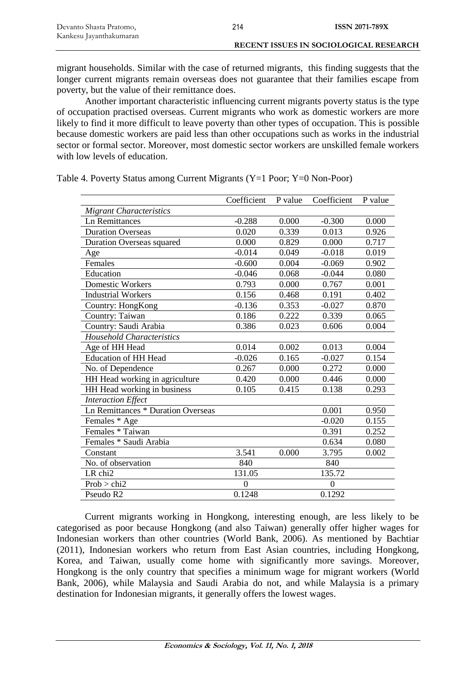| Devanto Shasta Pratomo, | 214 | <b>ISSN 2071-789X</b>                         |
|-------------------------|-----|-----------------------------------------------|
| Kankesu Jayanthakumaran |     |                                               |
|                         |     | <b>RECENT ISSUES IN SOCIOLOGICAL RESEARCH</b> |

migrant households. Similar with the case of returned migrants, this finding suggests that the longer current migrants remain overseas does not guarantee that their families escape from poverty, but the value of their remittance does.

Another important characteristic influencing current migrants poverty status is the type of occupation practised overseas. Current migrants who work as domestic workers are more likely to find it more difficult to leave poverty than other types of occupation. This is possible because domestic workers are paid less than other occupations such as works in the industrial sector or formal sector. Moreover, most domestic sector workers are unskilled female workers with low levels of education.

|                                           | Coefficient    | P value | Coefficient    | P value |
|-------------------------------------------|----------------|---------|----------------|---------|
| <b>Migrant Characteristics</b>            |                |         |                |         |
| <b>Ln Remittances</b>                     | $-0.288$       | 0.000   | $-0.300$       | 0.000   |
| <b>Duration Overseas</b>                  | 0.020          | 0.339   | 0.013          | 0.926   |
| <b>Duration Overseas squared</b>          | 0.000          | 0.829   | 0.000          | 0.717   |
| Age                                       | $-0.014$       | 0.049   | $-0.018$       | 0.019   |
| Females                                   | $-0.600$       | 0.004   | $-0.069$       | 0.902   |
| Education                                 | $-0.046$       | 0.068   | $-0.044$       | 0.080   |
| Domestic Workers                          | 0.793          | 0.000   | 0.767          | 0.001   |
| <b>Industrial Workers</b>                 | 0.156          | 0.468   | 0.191          | 0.402   |
| Country: HongKong                         | $-0.136$       | 0.353   | $-0.027$       | 0.870   |
| Country: Taiwan                           | 0.186          | 0.222   | 0.339          | 0.065   |
| Country: Saudi Arabia                     | 0.386          | 0.023   | 0.606          | 0.004   |
| <b>Household Characteristics</b>          |                |         |                |         |
| Age of HH Head                            | 0.014          | 0.002   | 0.013          | 0.004   |
| <b>Education of HH Head</b>               | $-0.026$       | 0.165   | $-0.027$       | 0.154   |
| No. of Dependence                         | 0.267          | 0.000   | 0.272          | 0.000   |
| HH Head working in agriculture            | 0.420          | 0.000   | 0.446          | 0.000   |
| HH Head working in business               | 0.105          | 0.415   | 0.138          | 0.293   |
| <b>Interaction Effect</b>                 |                |         |                |         |
| <b>Ln Remittances * Duration Overseas</b> |                |         | 0.001          | 0.950   |
| Females * Age                             |                |         | $-0.020$       | 0.155   |
| Females * Taiwan                          |                |         | 0.391          | 0.252   |
| Females * Saudi Arabia                    |                |         | 0.634          | 0.080   |
| Constant                                  | 3.541          | 0.000   | 3.795          | 0.002   |
| No. of observation                        | 840            |         | 840            |         |
| LR chi2                                   | 131.05         |         | 135.72         |         |
| Prob > chi2                               | $\overline{0}$ |         | $\overline{0}$ |         |
| Pseudo R2                                 | 0.1248         |         | 0.1292         |         |

Table 4. Poverty Status among Current Migrants (Y=1 Poor; Y=0 Non-Poor)

Current migrants working in Hongkong, interesting enough, are less likely to be categorised as poor because Hongkong (and also Taiwan) generally offer higher wages for Indonesian workers than other countries (World Bank, 2006). As mentioned by Bachtiar (2011), Indonesian workers who return from East Asian countries, including Hongkong, Korea, and Taiwan, usually come home with significantly more savings. Moreover, Hongkong is the only country that specifies a minimum wage for migrant workers (World Bank, 2006), while Malaysia and Saudi Arabia do not, and while Malaysia is a primary destination for Indonesian migrants, it generally offers the lowest wages.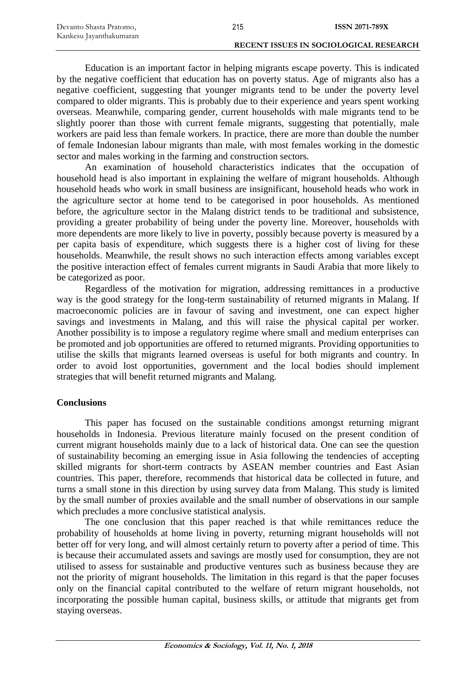| Devanto Shasta Pratomo, | 215 | <b>ISSN 2071-789X</b>                  |
|-------------------------|-----|----------------------------------------|
| Kankesu Jayanthakumaran |     |                                        |
|                         |     | RECENT ISSUES IN SOCIOLOGICAL RESEARCH |

Education is an important factor in helping migrants escape poverty. This is indicated by the negative coefficient that education has on poverty status. Age of migrants also has a negative coefficient, suggesting that younger migrants tend to be under the poverty level compared to older migrants. This is probably due to their experience and years spent working overseas. Meanwhile, comparing gender, current households with male migrants tend to be slightly poorer than those with current female migrants, suggesting that potentially, male workers are paid less than female workers. In practice, there are more than double the number of female Indonesian labour migrants than male, with most females working in the domestic sector and males working in the farming and construction sectors.

An examination of household characteristics indicates that the occupation of household head is also important in explaining the welfare of migrant households. Although household heads who work in small business are insignificant, household heads who work in the agriculture sector at home tend to be categorised in poor households. As mentioned before, the agriculture sector in the Malang district tends to be traditional and subsistence, providing a greater probability of being under the poverty line. Moreover, households with more dependents are more likely to live in poverty, possibly because poverty is measured by a per capita basis of expenditure, which suggests there is a higher cost of living for these households. Meanwhile, the result shows no such interaction effects among variables except the positive interaction effect of females current migrants in Saudi Arabia that more likely to be categorized as poor.

Regardless of the motivation for migration, addressing remittances in a productive way is the good strategy for the long-term sustainability of returned migrants in Malang. If macroeconomic policies are in favour of saving and investment, one can expect higher savings and investments in Malang, and this will raise the physical capital per worker. Another possibility is to impose a regulatory regime where small and medium enterprises can be promoted and job opportunities are offered to returned migrants. Providing opportunities to utilise the skills that migrants learned overseas is useful for both migrants and country. In order to avoid lost opportunities, government and the local bodies should implement strategies that will benefit returned migrants and Malang.

#### **Conclusions**

This paper has focused on the sustainable conditions amongst returning migrant households in Indonesia. Previous literature mainly focused on the present condition of current migrant households mainly due to a lack of historical data. One can see the question of sustainability becoming an emerging issue in Asia following the tendencies of accepting skilled migrants for short-term contracts by ASEAN member countries and East Asian countries. This paper, therefore, recommends that historical data be collected in future, and turns a small stone in this direction by using survey data from Malang. This study is limited by the small number of proxies available and the small number of observations in our sample which precludes a more conclusive statistical analysis.

The one conclusion that this paper reached is that while remittances reduce the probability of households at home living in poverty, returning migrant households will not better off for very long, and will almost certainly return to poverty after a period of time. This is because their accumulated assets and savings are mostly used for consumption, they are not utilised to assess for sustainable and productive ventures such as business because they are not the priority of migrant households. The limitation in this regard is that the paper focuses only on the financial capital contributed to the welfare of return migrant households, not incorporating the possible human capital, business skills, or attitude that migrants get from staying overseas.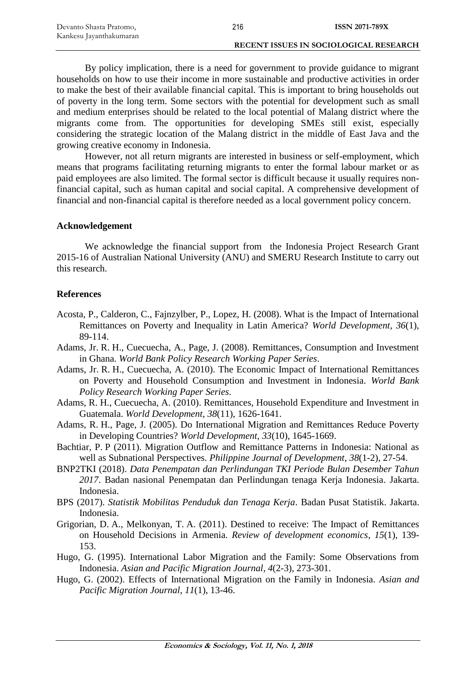| Devanto Shasta Pratomo, | 216 | <b>ISSN 2071-789X</b>                  |
|-------------------------|-----|----------------------------------------|
| Kankesu Jayanthakumaran |     |                                        |
|                         |     | RECENT ISSUES IN SOCIOLOGICAL RESEARCH |

By policy implication, there is a need for government to provide guidance to migrant households on how to use their income in more sustainable and productive activities in order to make the best of their available financial capital. This is important to bring households out of poverty in the long term. Some sectors with the potential for development such as small and medium enterprises should be related to the local potential of Malang district where the migrants come from. The opportunities for developing SMEs still exist, especially considering the strategic location of the Malang district in the middle of East Java and the growing creative economy in Indonesia.

However, not all return migrants are interested in business or self-employment, which means that programs facilitating returning migrants to enter the formal labour market or as paid employees are also limited. The formal sector is difficult because it usually requires nonfinancial capital, such as human capital and social capital. A comprehensive development of financial and non-financial capital is therefore needed as a local government policy concern.

#### **Acknowledgement**

We acknowledge the financial support from the Indonesia Project Research Grant 2015-16 of Australian National University (ANU) and SMERU Research Institute to carry out this research.

#### **References**

- Acosta, P., Calderon, C., Fajnzylber, P., Lopez, H. (2008). What is the Impact of International Remittances on Poverty and Inequality in Latin America? *World Development*, *36*(1), 89-114.
- Adams, Jr. R. H., Cuecuecha, A., Page, J. (2008). Remittances, Consumption and Investment in Ghana. *World Bank Policy Research Working Paper Series*.
- Adams, Jr. R. H., Cuecuecha, A. (2010). The Economic Impact of International Remittances on Poverty and Household Consumption and Investment in Indonesia. *World Bank Policy Research Working Paper Series*.
- Adams, R. H., Cuecuecha, A. (2010). Remittances, Household Expenditure and Investment in Guatemala. *World Development*, *38*(11), 1626-1641.
- Adams, R. H., Page, J. (2005). Do International Migration and Remittances Reduce Poverty in Developing Countries? *World Development*, *33*(10), 1645-1669.
- Bachtiar, P. P (2011). Migration Outflow and Remittance Patterns in Indonesia: National as well as Subnational Perspectives. *Philippine Journal of Development*, *38*(1-2), 27-54.
- BNP2TKI (2018). *Data Penempatan dan Perlindungan TKI Periode Bulan Desember Tahun 2017*. Badan nasional Penempatan dan Perlindungan tenaga Kerja Indonesia. Jakarta. Indonesia.
- BPS (2017). *Statistik Mobilitas Penduduk dan Tenaga Kerja*. Badan Pusat Statistik. Jakarta. Indonesia.
- Grigorian, D. A., Melkonyan, T. A. (2011). Destined to receive: The Impact of Remittances on Household Decisions in Armenia. *Review of development economics*, *15*(1), 139- 153.
- Hugo, G. (1995). International Labor Migration and the Family: Some Observations from Indonesia. *Asian and Pacific Migration Journal*, *4*(2-3), 273-301.
- Hugo, G. (2002). Effects of International Migration on the Family in Indonesia. *Asian and Pacific Migration Journal*, *11*(1), 13-46.